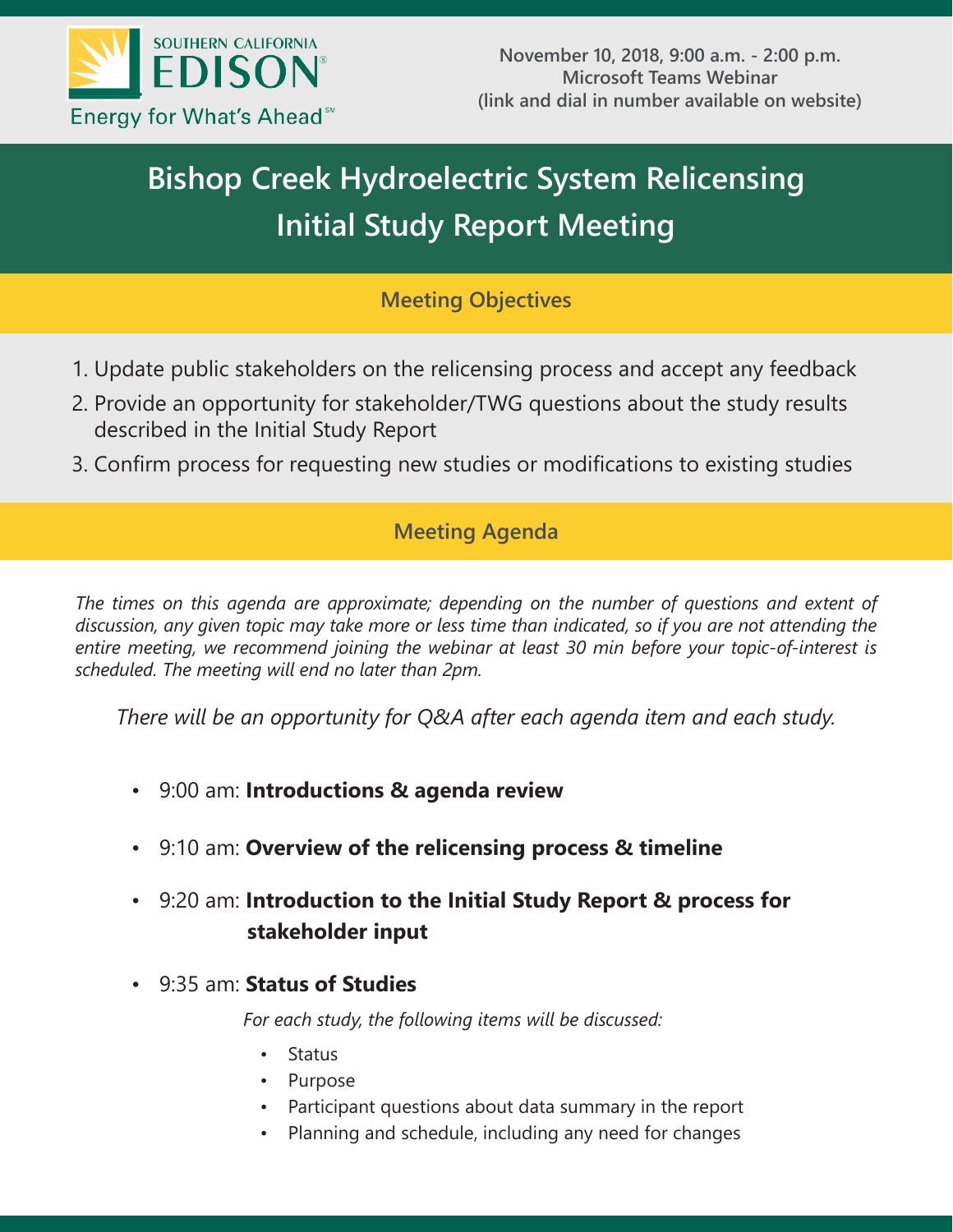

# **Bishop Creek Hydroelectric System Relicensing Initial Study Report Meeting**

## **Meeting Objectives**

- 1. Update public stakeholders on the relicensing process and accept any feedback
- 2. Provide an opportunity for stakeholder/TWG questions about the study results described in the Initial Study Report
- 3. Confirm process for requesting new studies or modifications to existing studies

## **Meeting Agenda**

*The times on this agenda are approximate; depending on the number of questions and extent of discussion, any given topic may take more or less time than indicated, so if you are not attending the entire meeting, we recommend joining the webinar at least 30 min before your topic-of-interest is scheduled. The meeting will end no later than 2pm.*

*There will be an opportunity for Q&A after each agenda item and each study.* 

- 9:00 am: **Introductions & agenda review**
- 9:10 am: **Overview of the relicensing process & timeline**
- 9:20 am: **Introduction to the Initial Study Report & process for stakeholder input**
- 9:35 am: **Status of Studies**

*For each study, the following items will be discussed:*

- Status
- Purpose
- Participant questions about data summary in the report
- Planning and schedule, including any need for changes